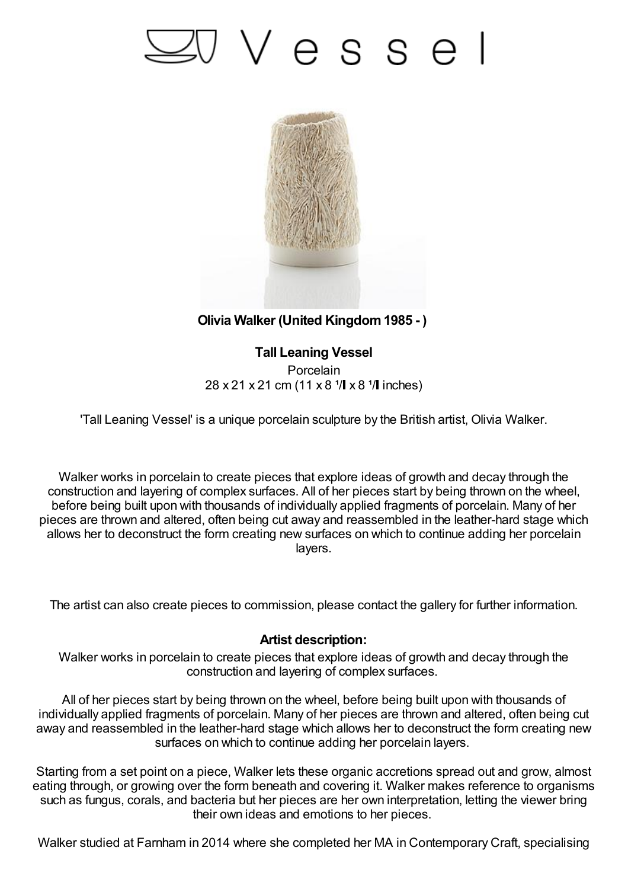## 'Vesse



**Olivia Walker (United Kingdom1985 - )**

**Tall Leaning Vessel Porcelain**  $28 \times 21 \times 21$  cm (11 x 8  $\sqrt[1]{\text{I}} \times 8$   $\sqrt[1]{\text{I}}$  inches)

'Tall Leaning Vessel' is a unique porcelain sculpture by the British artist, Olivia Walker.

Walker works in porcelain to create pieces that explore ideas of growth and decay through the construction and layering of complex surfaces. All of her pieces start by being thrown on the wheel, before being built upon with thousands of individually applied fragments of porcelain. Many of her pieces are thrown and altered, often being cut away and reassembled in the leather-hard stage which allows her to deconstruct the form creating new surfaces on which to continue adding her porcelain layers.

The artist can also create pieces to commission, please contact the gallery for further information.

## **Artist description:**

Walker works in porcelain to create pieces that explore ideas of growth and decay through the construction and layering of complex surfaces.

All of her pieces start by being thrown on the wheel, before being built upon with thousands of individually applied fragments of porcelain. Many of her pieces are thrown and altered, often being cut away and reassembled in the leather-hard stage which allows her to deconstruct the form creating new surfaces on which to continue adding her porcelain layers.

Starting from a set point on a piece, Walker lets these organic accretions spread out and grow, almost eating through, or growing over the form beneath and covering it. Walker makes reference to organisms such as fungus, corals, and bacteria but her pieces are her own interpretation, letting the viewer bring their own ideas and emotions to her pieces.

Walker studied at Farnham in 2014 where she completed her MA in Contemporary Craft, specialising